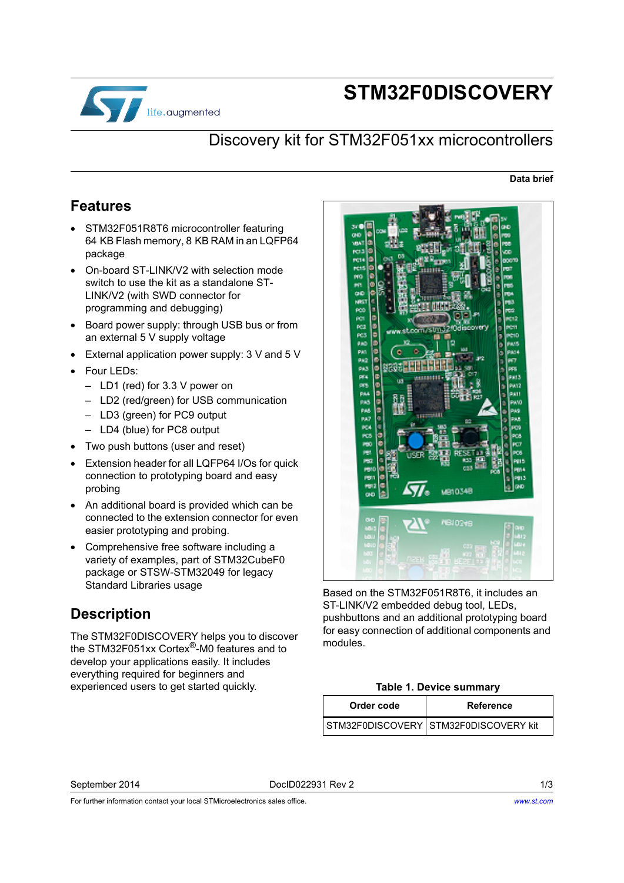

# **STM32F0DISCOVERY**

### Discovery kit for STM32F051xx microcontrollers

#### **Data brief**

#### <span id="page-0-1"></span>**Features**

- STM32F051R8T6 microcontroller featuring 64 KB Flash memory, 8 KB RAM in an LQFP64 package
- On-board ST-LINK/V2 with selection mode switch to use the kit as a standalone ST-LINK/V2 (with SWD connector for programming and debugging)
- Board power supply: through USB bus or from an external 5 V supply voltage
- External application power supply: 3 V and 5 V
- Four LEDs:
	- LD1 (red) for 3.3 V power on
	- LD2 (red/green) for USB communication
	- LD3 (green) for PC9 output
	- LD4 (blue) for PC8 output
- Two push buttons (user and reset)
- Extension header for all LQFP64 I/Os for quick connection to prototyping board and easy probing
- An additional board is provided which can be connected to the extension connector for even easier prototyping and probing.
- Comprehensive free software including a variety of examples, part of STM32CubeF0 package or STSW-STM32049 for legacy Standard Libraries usage

#### <span id="page-0-0"></span>**Description**

The STM32F0DISCOVERY helps you to discover the STM32F051xx Cortex®-M0 features and to develop your applications easily. It includes everything required for beginners and experienced users to get started quickly.



Based on the STM32F051R8T6, it includes an ST-LINK/V2 embedded debug tool, LEDs, pushbuttons and an additional prototyping board for easy connection of additional components and modules.

#### **Table 1. Device summary**

| Order code | Reference                             |
|------------|---------------------------------------|
|            | STM32F0DISCOVERY STM32F0DISCOVERY kit |

September 2014 DocID022931 Rev 2 1/3

For further information contact your local STMicroelectronics sales office.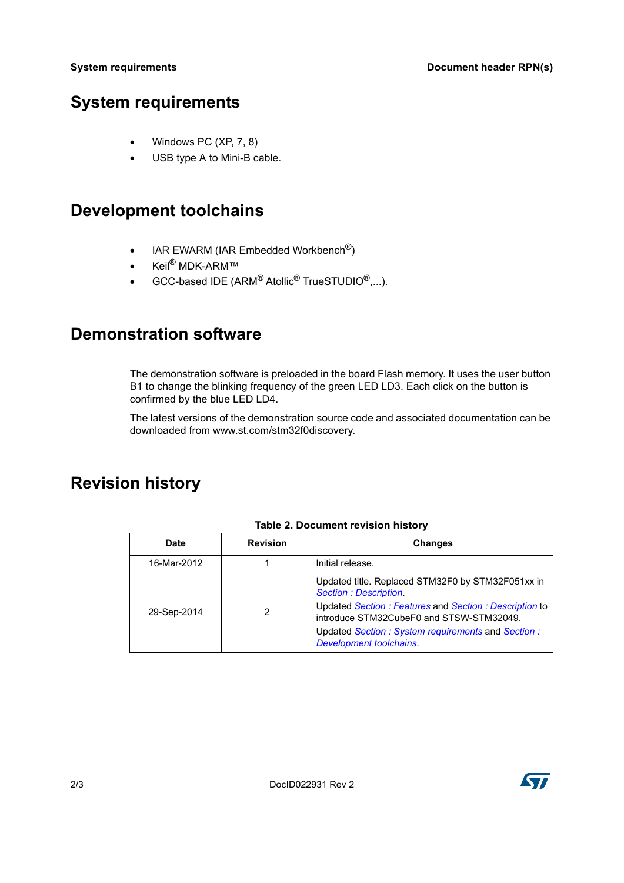### <span id="page-1-0"></span>**System requirements**

- Windows PC (XP, 7, 8)
- USB type A to Mini-B cable.

# <span id="page-1-1"></span>**Development toolchains**

- IAR EWARM (IAR Embedded Workbench<sup>®</sup>)
- Keil<sup>®</sup> MDK-ARM™
- GCC-based IDE (ARM $^{\circledR}$ Atollic $^{\circledR}$  TrueSTUDIO $^{\circledR}, \ldots$ ).

#### **Demonstration software**

The demonstration software is preloaded in the board Flash memory. It uses the user button B1 to change the blinking frequency of the green LED LD3. Each click on the button is confirmed by the blue LED LD4.

[The latest versions of the demonstration source code and associated documentation can be](www.st.com/stm32f0discovery)  downloaded from www.st.com/stm32f0discovery.

## **Revision history**

| <b>Date</b> | <b>Revision</b> | <b>Changes</b>                                                                                    |
|-------------|-----------------|---------------------------------------------------------------------------------------------------|
| 16-Mar-2012 |                 | Initial release.                                                                                  |
| 29-Sep-2014 |                 | Updated title. Replaced STM32F0 by STM32F051xx in<br><b>Section: Description.</b>                 |
|             |                 | Updated Section: Features and Section: Description to<br>introduce STM32CubeF0 and STSW-STM32049. |
|             |                 | Updated Section: System requirements and Section:<br><b>Development toolchains.</b>               |

#### **Table 2. Document revision history**